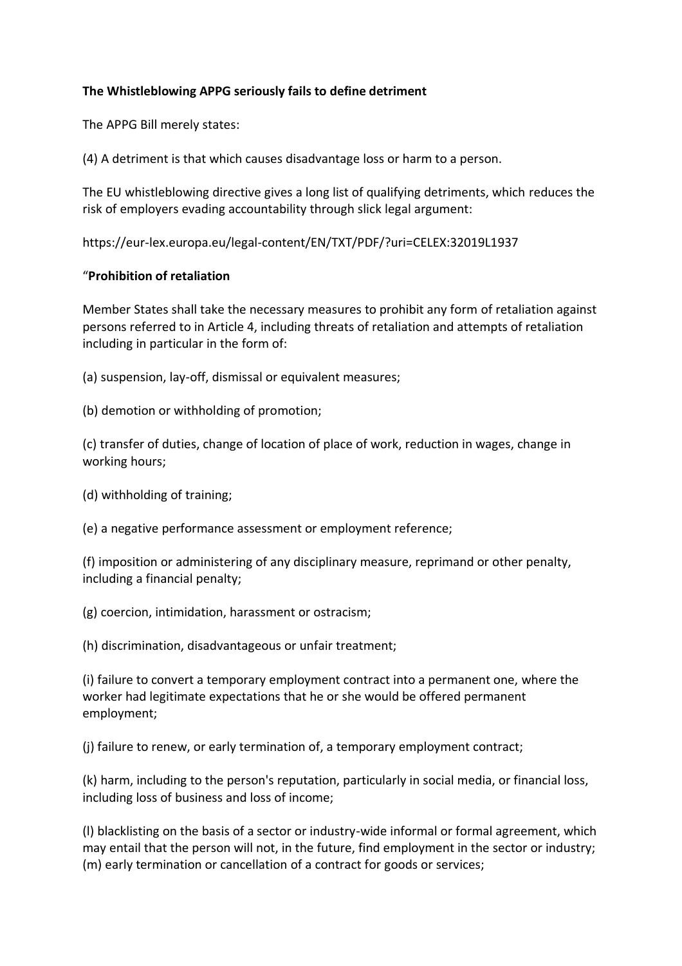## **The Whistleblowing APPG seriously fails to define detriment**

The APPG Bill merely states:

(4) A detriment is that which causes disadvantage loss or harm to a person.

The EU whistleblowing directive gives a long list of qualifying detriments, which reduces the risk of employers evading accountability through slick legal argument:

https://eur-lex.europa.eu/legal-content/EN/TXT/PDF/?uri=CELEX:32019L1937

## "**Prohibition of retaliation**

Member States shall take the necessary measures to prohibit any form of retaliation against persons referred to in Article 4, including threats of retaliation and attempts of retaliation including in particular in the form of:

- (a) suspension, lay-off, dismissal or equivalent measures;
- (b) demotion or withholding of promotion;

(c) transfer of duties, change of location of place of work, reduction in wages, change in working hours;

(d) withholding of training;

(e) a negative performance assessment or employment reference;

(f) imposition or administering of any disciplinary measure, reprimand or other penalty, including a financial penalty;

(g) coercion, intimidation, harassment or ostracism;

(h) discrimination, disadvantageous or unfair treatment;

(i) failure to convert a temporary employment contract into a permanent one, where the worker had legitimate expectations that he or she would be offered permanent employment;

(j) failure to renew, or early termination of, a temporary employment contract;

(k) harm, including to the person's reputation, particularly in social media, or financial loss, including loss of business and loss of income;

(l) blacklisting on the basis of a sector or industry-wide informal or formal agreement, which may entail that the person will not, in the future, find employment in the sector or industry; (m) early termination or cancellation of a contract for goods or services;